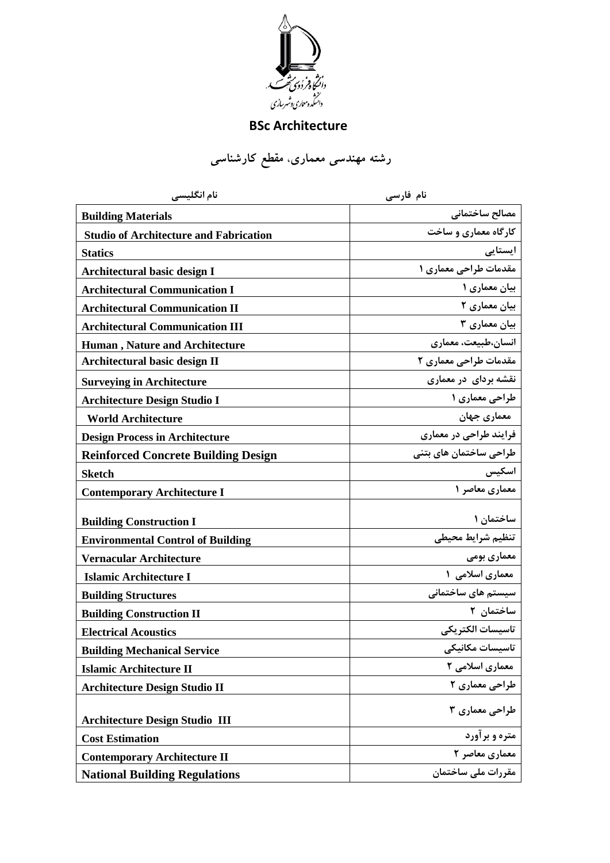

## **BSc Architecture**

**رشته مهندسی معماري**، **مقطع کارشناسی** 

| نام انگلیسی                                   | نام فارسی              |
|-----------------------------------------------|------------------------|
| <b>Building Materials</b>                     | مصالح ساختمانى         |
| <b>Studio of Architecture and Fabrication</b> | کارگاه معماری و ساخت   |
| <b>Statics</b>                                | ایستایی                |
| <b>Architectural basic design I</b>           | مقدمات طراحی معماری ۱  |
| <b>Architectural Communication I</b>          | بیان معماری ۱          |
| <b>Architectural Communication II</b>         | بیان معماری ٢          |
| <b>Architectural Communication III</b>        | بیان معماری ۳          |
| <b>Human</b> , Nature and Architecture        | انسان،طبیعت، معماری    |
| Architectural basic design II                 | مقدمات طراحی معماری ۲  |
| <b>Surveying in Architecture</b>              | نقشه بردای در معماری   |
| <b>Architecture Design Studio I</b>           | طراحی معماری ۱         |
| <b>World Architecture</b>                     | معماري جهان            |
| <b>Design Process in Architecture</b>         | فرایند طراحی در معماری |
| <b>Reinforced Concrete Building Design</b>    | طراحی ساختمان های بتنی |
| <b>Sketch</b>                                 | اسكيس                  |
| <b>Contemporary Architecture I</b>            | معماری معاصر ١         |
| <b>Building Construction I</b>                | ساختمان ۱              |
| <b>Environmental Control of Building</b>      | تنظيم شرايط محيطى      |
| Vernacular Architecture                       | معماری بومی            |
| <b>Islamic Architecture I</b>                 | معماری اسلامی ۱        |
| <b>Building Structures</b>                    | سیستم های ساختمانی     |
| <b>Building Construction II</b>               | ساختمان ۲              |
| <b>Electrical Acoustics</b>                   | تاسىسات الكتريكي       |
| <b>Building Mechanical Service</b>            | تاسیسات مکانیکی        |
| <b>Islamic Architecture II</b>                | معماری اسلامی ۲        |
| <b>Architecture Design Studio II</b>          | طراحی معماری ۲         |
| <b>Architecture Design Studio III</b>         | طراحی معماری ۳         |
| <b>Cost Estimation</b>                        | متره و برآورد          |
| <b>Contemporary Architecture II</b>           | معماری معاصر ۲         |
| <b>National Building Regulations</b>          | مقررات ملی ساختمان     |